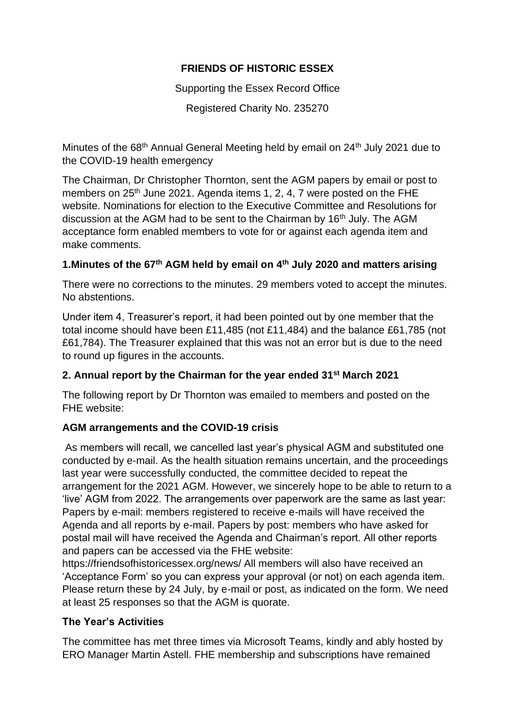## **FRIENDS OF HISTORIC ESSEX**

Supporting the Essex Record Office

Registered Charity No. 235270

Minutes of the 68<sup>th</sup> Annual General Meeting held by email on 24<sup>th</sup> July 2021 due to the COVID-19 health emergency

The Chairman, Dr Christopher Thornton, sent the AGM papers by email or post to members on 25<sup>th</sup> June 2021. Agenda items 1, 2, 4, 7 were posted on the FHE website. Nominations for election to the Executive Committee and Resolutions for discussion at the AGM had to be sent to the Chairman by 16<sup>th</sup> July. The AGM acceptance form enabled members to vote for or against each agenda item and make comments.

# **1.Minutes of the 67th AGM held by email on 4th July 2020 and matters arising**

There were no corrections to the minutes. 29 members voted to accept the minutes. No abstentions.

Under item 4, Treasurer's report, it had been pointed out by one member that the total income should have been £11,485 (not £11,484) and the balance £61,785 (not £61,784). The Treasurer explained that this was not an error but is due to the need to round up figures in the accounts.

## **2. Annual report by the Chairman for the year ended 31st March 2021**

The following report by Dr Thornton was emailed to members and posted on the FHE website:

## **AGM arrangements and the COVID-19 crisis**

As members will recall, we cancelled last year's physical AGM and substituted one conducted by e-mail. As the health situation remains uncertain, and the proceedings last year were successfully conducted, the committee decided to repeat the arrangement for the 2021 AGM. However, we sincerely hope to be able to return to a 'live' AGM from 2022. The arrangements over paperwork are the same as last year: Papers by e-mail: members registered to receive e-mails will have received the Agenda and all reports by e-mail. Papers by post: members who have asked for postal mail will have received the Agenda and Chairman's report. All other reports and papers can be accessed via the FHE website:

https://friendsofhistoricessex.org/news/ All members will also have received an 'Acceptance Form' so you can express your approval (or not) on each agenda item. Please return these by 24 July, by e-mail or post, as indicated on the form. We need at least 25 responses so that the AGM is quorate.

#### **The Year's Activities**

The committee has met three times via Microsoft Teams, kindly and ably hosted by ERO Manager Martin Astell. FHE membership and subscriptions have remained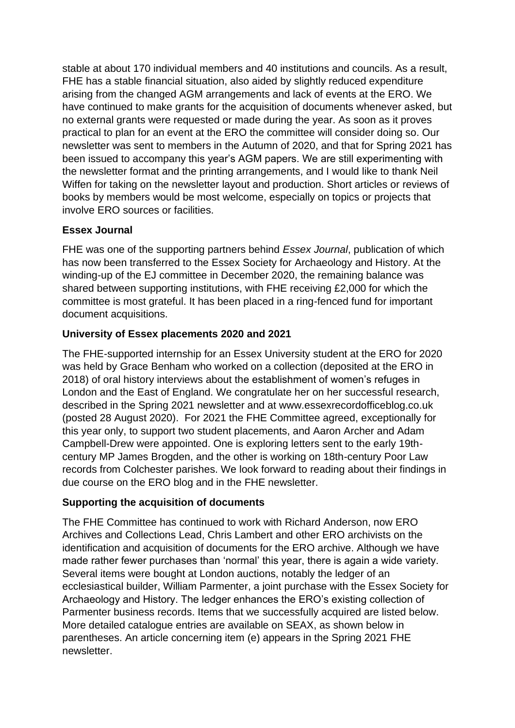stable at about 170 individual members and 40 institutions and councils. As a result, FHE has a stable financial situation, also aided by slightly reduced expenditure arising from the changed AGM arrangements and lack of events at the ERO. We have continued to make grants for the acquisition of documents whenever asked, but no external grants were requested or made during the year. As soon as it proves practical to plan for an event at the ERO the committee will consider doing so. Our newsletter was sent to members in the Autumn of 2020, and that for Spring 2021 has been issued to accompany this year's AGM papers. We are still experimenting with the newsletter format and the printing arrangements, and I would like to thank Neil Wiffen for taking on the newsletter layout and production. Short articles or reviews of books by members would be most welcome, especially on topics or projects that involve ERO sources or facilities.

## **Essex Journal**

FHE was one of the supporting partners behind *Essex Journal*, publication of which has now been transferred to the Essex Society for Archaeology and History. At the winding-up of the EJ committee in December 2020, the remaining balance was shared between supporting institutions, with FHE receiving £2,000 for which the committee is most grateful. It has been placed in a ring-fenced fund for important document acquisitions.

## **University of Essex placements 2020 and 2021**

The FHE-supported internship for an Essex University student at the ERO for 2020 was held by Grace Benham who worked on a collection (deposited at the ERO in 2018) of oral history interviews about the establishment of women's refuges in London and the East of England. We congratulate her on her successful research, described in the Spring 2021 newsletter and at www.essexrecordofficeblog.co.uk (posted 28 August 2020). For 2021 the FHE Committee agreed, exceptionally for this year only, to support two student placements, and Aaron Archer and Adam Campbell-Drew were appointed. One is exploring letters sent to the early 19thcentury MP James Brogden, and the other is working on 18th-century Poor Law records from Colchester parishes. We look forward to reading about their findings in due course on the ERO blog and in the FHE newsletter.

#### **Supporting the acquisition of documents**

The FHE Committee has continued to work with Richard Anderson, now ERO Archives and Collections Lead, Chris Lambert and other ERO archivists on the identification and acquisition of documents for the ERO archive. Although we have made rather fewer purchases than 'normal' this year, there is again a wide variety. Several items were bought at London auctions, notably the ledger of an ecclesiastical builder, William Parmenter, a joint purchase with the Essex Society for Archaeology and History. The ledger enhances the ERO's existing collection of Parmenter business records. Items that we successfully acquired are listed below. More detailed catalogue entries are available on SEAX, as shown below in parentheses. An article concerning item (e) appears in the Spring 2021 FHE newsletter.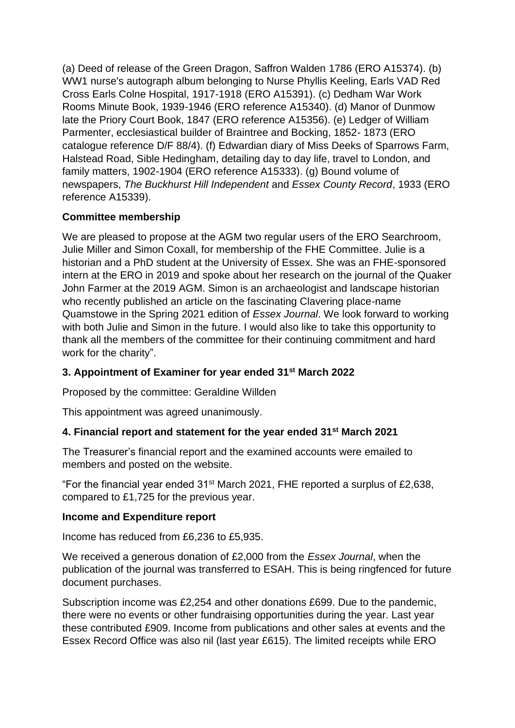(a) Deed of release of the Green Dragon, Saffron Walden 1786 (ERO A15374). (b) WW1 nurse's autograph album belonging to Nurse Phyllis Keeling, Earls VAD Red Cross Earls Colne Hospital, 1917-1918 (ERO A15391). (c) Dedham War Work Rooms Minute Book, 1939-1946 (ERO reference A15340). (d) Manor of Dunmow late the Priory Court Book, 1847 (ERO reference A15356). (e) Ledger of William Parmenter, ecclesiastical builder of Braintree and Bocking, 1852- 1873 (ERO catalogue reference D/F 88/4). (f) Edwardian diary of Miss Deeks of Sparrows Farm, Halstead Road, Sible Hedingham, detailing day to day life, travel to London, and family matters, 1902-1904 (ERO reference A15333). (g) Bound volume of newspapers, *The Buckhurst Hill Independent* and *Essex County Record*, 1933 (ERO reference A15339).

## **Committee membership**

We are pleased to propose at the AGM two regular users of the ERO Searchroom, Julie Miller and Simon Coxall, for membership of the FHE Committee. Julie is a historian and a PhD student at the University of Essex. She was an FHE-sponsored intern at the ERO in 2019 and spoke about her research on the journal of the Quaker John Farmer at the 2019 AGM. Simon is an archaeologist and landscape historian who recently published an article on the fascinating Clavering place-name Quamstowe in the Spring 2021 edition of *Essex Journal*. We look forward to working with both Julie and Simon in the future. I would also like to take this opportunity to thank all the members of the committee for their continuing commitment and hard work for the charity".

#### **3. Appointment of Examiner for year ended 31st March 2022**

Proposed by the committee: Geraldine Willden

This appointment was agreed unanimously.

#### **4. Financial report and statement for the year ended 31st March 2021**

The Treasurer's financial report and the examined accounts were emailed to members and posted on the website.

"For the financial year ended 31st March 2021, FHE reported a surplus of £2,638, compared to £1,725 for the previous year.

#### **Income and Expenditure report**

Income has reduced from £6,236 to £5,935.

We received a generous donation of £2,000 from the *Essex Journal*, when the publication of the journal was transferred to ESAH. This is being ringfenced for future document purchases.

Subscription income was £2,254 and other donations £699. Due to the pandemic, there were no events or other fundraising opportunities during the year. Last year these contributed £909. Income from publications and other sales at events and the Essex Record Office was also nil (last year £615). The limited receipts while ERO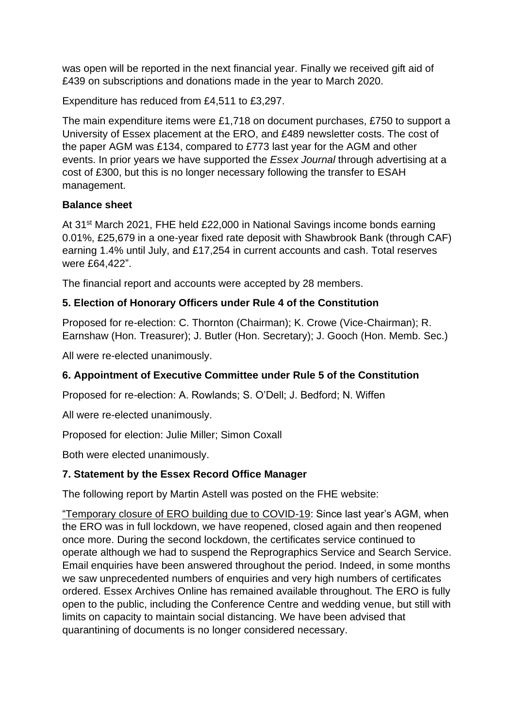was open will be reported in the next financial year. Finally we received gift aid of £439 on subscriptions and donations made in the year to March 2020.

Expenditure has reduced from £4,511 to £3,297.

The main expenditure items were £1,718 on document purchases, £750 to support a University of Essex placement at the ERO, and £489 newsletter costs. The cost of the paper AGM was £134, compared to £773 last year for the AGM and other events. In prior years we have supported the *Essex Journal* through advertising at a cost of £300, but this is no longer necessary following the transfer to ESAH management.

#### **Balance sheet**

At 31<sup>st</sup> March 2021, FHE held £22,000 in National Savings income bonds earning 0.01%, £25,679 in a one-year fixed rate deposit with Shawbrook Bank (through CAF) earning 1.4% until July, and £17,254 in current accounts and cash. Total reserves were £64,422".

The financial report and accounts were accepted by 28 members.

## **5. Election of Honorary Officers under Rule 4 of the Constitution**

Proposed for re-election: C. Thornton (Chairman); K. Crowe (Vice-Chairman); R. Earnshaw (Hon. Treasurer); J. Butler (Hon. Secretary); J. Gooch (Hon. Memb. Sec.)

All were re-elected unanimously.

#### **6. Appointment of Executive Committee under Rule 5 of the Constitution**

Proposed for re-election: A. Rowlands; S. O'Dell; J. Bedford; N. Wiffen

All were re-elected unanimously.

Proposed for election: Julie Miller; Simon Coxall

Both were elected unanimously.

#### **7. Statement by the Essex Record Office Manager**

The following report by Martin Astell was posted on the FHE website:

"Temporary closure of ERO building due to COVID-19: Since last year's AGM, when the ERO was in full lockdown, we have reopened, closed again and then reopened once more. During the second lockdown, the certificates service continued to operate although we had to suspend the Reprographics Service and Search Service. Email enquiries have been answered throughout the period. Indeed, in some months we saw unprecedented numbers of enquiries and very high numbers of certificates ordered. Essex Archives Online has remained available throughout. The ERO is fully open to the public, including the Conference Centre and wedding venue, but still with limits on capacity to maintain social distancing. We have been advised that quarantining of documents is no longer considered necessary.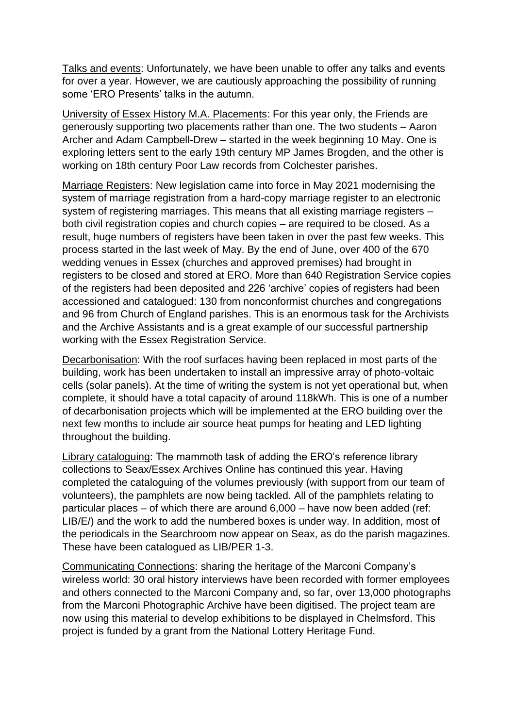Talks and events: Unfortunately, we have been unable to offer any talks and events for over a year. However, we are cautiously approaching the possibility of running some 'ERO Presents' talks in the autumn.

University of Essex History M.A. Placements: For this year only, the Friends are generously supporting two placements rather than one. The two students – Aaron Archer and Adam Campbell-Drew – started in the week beginning 10 May. One is exploring letters sent to the early 19th century MP James Brogden, and the other is working on 18th century Poor Law records from Colchester parishes.

Marriage Registers: New legislation came into force in May 2021 modernising the system of marriage registration from a hard-copy marriage register to an electronic system of registering marriages. This means that all existing marriage registers – both civil registration copies and church copies – are required to be closed. As a result, huge numbers of registers have been taken in over the past few weeks. This process started in the last week of May. By the end of June, over 400 of the 670 wedding venues in Essex (churches and approved premises) had brought in registers to be closed and stored at ERO. More than 640 Registration Service copies of the registers had been deposited and 226 'archive' copies of registers had been accessioned and catalogued: 130 from nonconformist churches and congregations and 96 from Church of England parishes. This is an enormous task for the Archivists and the Archive Assistants and is a great example of our successful partnership working with the Essex Registration Service.

Decarbonisation: With the roof surfaces having been replaced in most parts of the building, work has been undertaken to install an impressive array of photo-voltaic cells (solar panels). At the time of writing the system is not yet operational but, when complete, it should have a total capacity of around 118kWh. This is one of a number of decarbonisation projects which will be implemented at the ERO building over the next few months to include air source heat pumps for heating and LED lighting throughout the building.

Library cataloguing: The mammoth task of adding the ERO's reference library collections to Seax/Essex Archives Online has continued this year. Having completed the cataloguing of the volumes previously (with support from our team of volunteers), the pamphlets are now being tackled. All of the pamphlets relating to particular places – of which there are around 6,000 – have now been added (ref: LIB/E/) and the work to add the numbered boxes is under way. In addition, most of the periodicals in the Searchroom now appear on Seax, as do the parish magazines. These have been catalogued as LIB/PER 1-3.

Communicating Connections: sharing the heritage of the Marconi Company's wireless world: 30 oral history interviews have been recorded with former employees and others connected to the Marconi Company and, so far, over 13,000 photographs from the Marconi Photographic Archive have been digitised. The project team are now using this material to develop exhibitions to be displayed in Chelmsford. This project is funded by a grant from the National Lottery Heritage Fund.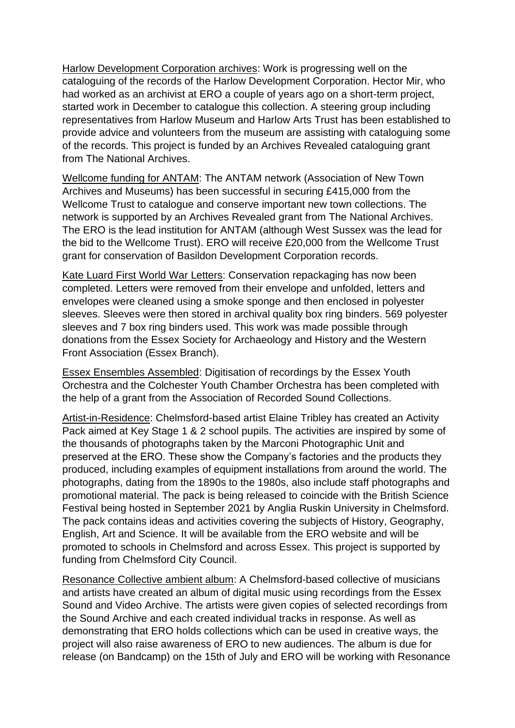Harlow Development Corporation archives: Work is progressing well on the cataloguing of the records of the Harlow Development Corporation. Hector Mir, who had worked as an archivist at ERO a couple of years ago on a short-term project, started work in December to catalogue this collection. A steering group including representatives from Harlow Museum and Harlow Arts Trust has been established to provide advice and volunteers from the museum are assisting with cataloguing some of the records. This project is funded by an Archives Revealed cataloguing grant from The National Archives.

Wellcome funding for ANTAM: The ANTAM network (Association of New Town Archives and Museums) has been successful in securing £415,000 from the Wellcome Trust to catalogue and conserve important new town collections. The network is supported by an Archives Revealed grant from The National Archives. The ERO is the lead institution for ANTAM (although West Sussex was the lead for the bid to the Wellcome Trust). ERO will receive £20,000 from the Wellcome Trust grant for conservation of Basildon Development Corporation records.

Kate Luard First World War Letters: Conservation repackaging has now been completed. Letters were removed from their envelope and unfolded, letters and envelopes were cleaned using a smoke sponge and then enclosed in polyester sleeves. Sleeves were then stored in archival quality box ring binders. 569 polyester sleeves and 7 box ring binders used. This work was made possible through donations from the Essex Society for Archaeology and History and the Western Front Association (Essex Branch).

Essex Ensembles Assembled: Digitisation of recordings by the Essex Youth Orchestra and the Colchester Youth Chamber Orchestra has been completed with the help of a grant from the Association of Recorded Sound Collections.

Artist-in-Residence: Chelmsford-based artist Elaine Tribley has created an Activity Pack aimed at Key Stage 1 & 2 school pupils. The activities are inspired by some of the thousands of photographs taken by the Marconi Photographic Unit and preserved at the ERO. These show the Company's factories and the products they produced, including examples of equipment installations from around the world. The photographs, dating from the 1890s to the 1980s, also include staff photographs and promotional material. The pack is being released to coincide with the British Science Festival being hosted in September 2021 by Anglia Ruskin University in Chelmsford. The pack contains ideas and activities covering the subjects of History, Geography, English, Art and Science. It will be available from the ERO website and will be promoted to schools in Chelmsford and across Essex. This project is supported by funding from Chelmsford City Council.

Resonance Collective ambient album: A Chelmsford-based collective of musicians and artists have created an album of digital music using recordings from the Essex Sound and Video Archive. The artists were given copies of selected recordings from the Sound Archive and each created individual tracks in response. As well as demonstrating that ERO holds collections which can be used in creative ways, the project will also raise awareness of ERO to new audiences. The album is due for release (on Bandcamp) on the 15th of July and ERO will be working with Resonance